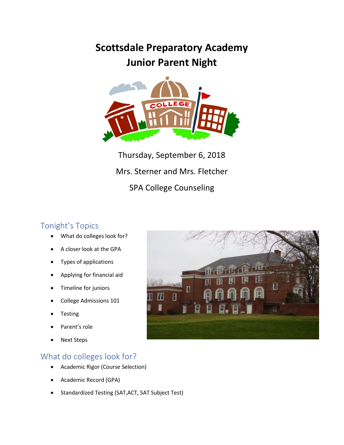# **Scottsdale Preparatory Academy Junior Parent Night**



Thursday, September 6, 2018 Mrs. Sterner and Mrs. Fletcher SPA College Counseling

# Tonight's Topics

- What do colleges look for?
- A closer look at the GPA
- Types of applications
- Applying for financial aid
- Timeline for juniors
- College Admissions 101
- **Testing**
- Parent's role
- **Next Steps**

# What do colleges look for?

- Academic Rigor (Course Selection)
- Academic Record (GPA)
- Standardized Testing (SAT,ACT, SAT Subject Test)

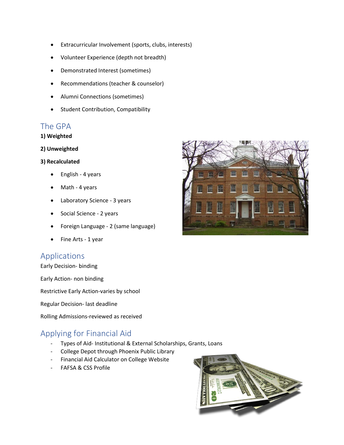- Extracurricular Involvement (sports, clubs, interests)
- Volunteer Experience (depth not breadth)
- Demonstrated Interest (sometimes)
- Recommendations (teacher & counselor)
- Alumni Connections (sometimes)
- Student Contribution, Compatibility

# The GPA

#### **1) Weighted**

**2) Unweighted**

#### **3) Recalculated**

- English 4 years
- Math 4 years
- Laboratory Science 3 years
- Social Science 2 years
- Foreign Language 2 (same language)
- Fine Arts 1 year

# Applications

Early Decision- binding

Early Action- non binding

Restrictive Early Action-varies by school

Regular Decision- last deadline

Rolling Admissions-reviewed as received

# Applying for Financial Aid

- Types of Aid- Institutional & External Scholarships, Grants, Loans
- College Depot through Phoenix Public Library
- Financial Aid Calculator on College Website
- FAFSA & CSS Profile



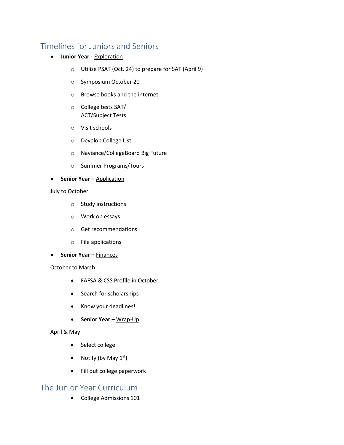# Timelines for Juniors and Seniors

- **Junior Year -** Exploration
	- o Utilize PSAT (Oct. 24) to prepare for SAT (April 9)
	- o Symposium October 20
	- o Browse books and the internet
	- o College tests SAT/ ACT/Subject Tests
	- o Visit schools
	- o Develop College List
	- o Naviance/CollegeBoard Big Future
	- o Summer Programs/Tours

#### • **Senior Year** – **Application**

#### July to October

- o Study instructions
- o Work on essays
- o Get recommendations
- o File applications
- **Senior Year –** Finances

#### October to March

- FAFSA & CSS Profile in October
- Search for scholarships
- Know your deadlines!
- **Senior Year –** Wrap-Up

#### April & May

- Select college
- Notify (by May  $1<sup>st</sup>$ )
- Fill out college paperwork

### The Junior Year Curriculum

• College Admissions 101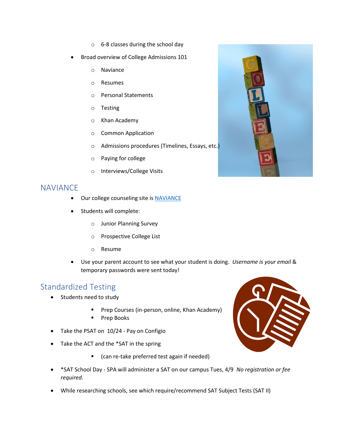- o 6-8 classes during the school day
- Broad overview of College Admissions 101
	- o Naviance
	- o Resumes
	- o Personal Statements
	- o Testing
	- o Khan Academy
	- o Common Application
	- o Admissions procedures (Timelines, Essays, etc.)
	- o Paying for college
	- o Interviews/College Visits

### **NAVIANCE**

- Our college counseling site i[s NAVIANCE](http://www.connection.naviance.com/vpa)
- Students will complete:
	- o Junior Planning Survey
	- o Prospective College List
	- o Resume
- Use your parent account to see what your student is doing. *Username is your email* & temporary passwords were sent today!

# Standardized Testing

- Students need to study
	- Prep Courses (in-person, online, Khan Academy)
	- Prep Books
- Take the PSAT on 10/24 Pay on Configio
- Take the ACT and the \*SAT in the spring
	- (can re-take preferred test again if needed)
- \*SAT School Day SPA will administer a SAT on our campus Tues, 4/9 *No registration or fee required*.
- While researching schools, see which require/recommend SAT Subject Tests (SAT II)